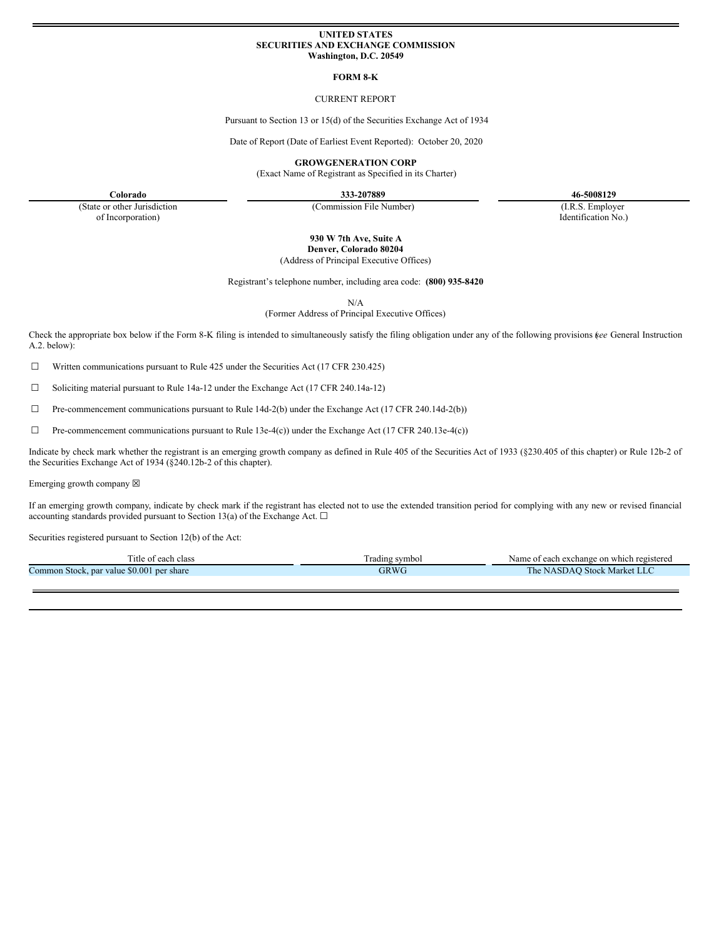### **UNITED STATES SECURITIES AND EXCHANGE COMMISSION Washington, D.C. 20549**

#### **FORM 8-K**

### CURRENT REPORT

Pursuant to Section 13 or 15(d) of the Securities Exchange Act of 1934

Date of Report (Date of Earliest Event Reported): October 20, 2020

**GROWGENERATION CORP**

(Exact Name of Registrant as Specified in its Charter)

**Colorado 333-207889 46-5008129**

(State or other Jurisdiction of Incorporation)

(Commission File Number) (I.R.S. Employer

Identification No.)

**930 W 7th Ave, Suite A Denver, Colorado 80204**

(Address of Principal Executive Offices)

Registrant's telephone number, including area code: **(800) 935-8420**

N/A

(Former Address of Principal Executive Offices)

Check the appropriate box below if the Form 8-K filing is intended to simultaneously satisfy the filing obligation under any of the following provisions (*see* General Instruction A.2. below):

 $\Box$  Written communications pursuant to Rule 425 under the Securities Act (17 CFR 230.425)

 $\Box$  Soliciting material pursuant to Rule 14a-12 under the Exchange Act (17 CFR 240.14a-12)

☐ Pre-commencement communications pursuant to Rule 14d-2(b) under the Exchange Act (17 CFR 240.14d-2(b))

 $\Box$  Pre-commencement communications pursuant to Rule 13e-4(c)) under the Exchange Act (17 CFR 240.13e-4(c))

Indicate by check mark whether the registrant is an emerging growth company as defined in Rule 405 of the Securities Act of 1933 (§230.405 of this chapter) or Rule 12b-2 of the Securities Exchange Act of 1934 (§240.12b-2 of this chapter).

Emerging growth company  $\boxtimes$ 

If an emerging growth company, indicate by check mark if the registrant has elected not to use the extended transition period for complying with any new or revised financial accounting standards provided pursuant to Section 13(a) of the Exchange Act.  $\Box$ 

Securities registered pursuant to Section 12(b) of the Act:

| l'itle of each class                      | rading symbol | Name of each exchange on which registered |
|-------------------------------------------|---------------|-------------------------------------------|
| Common Stock, par value \$0.001 per share | GRWC          | The NASDAO Stock Market LLC               |
|                                           |               |                                           |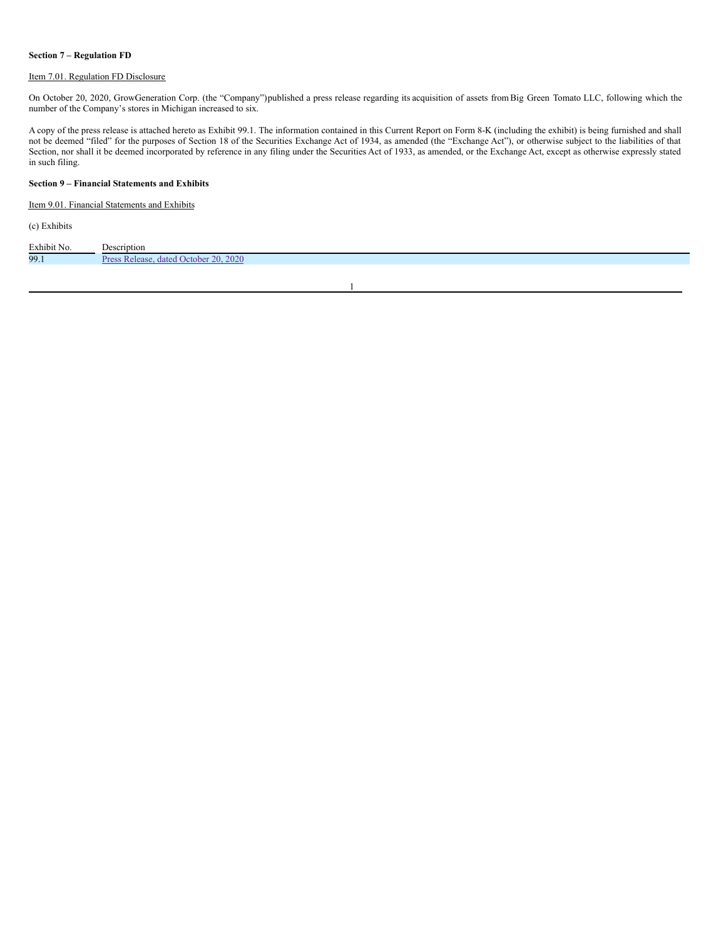### **Section 7 – Regulation FD**

## Item 7.01. Regulation FD Disclosure

On October 20, 2020, GrowGeneration Corp. (the "Company")published a press release regarding its acquisition of assets fromBig Green Tomato LLC, following which the number of the Company's stores in Michigan increased to six.

A copy of the press release is attached hereto as Exhibit 99.1. The information contained in this Current Report on Form 8-K (including the exhibit) is being furnished and shall not be deemed "filed" for the purposes of Section 18 of the Securities Exchange Act of 1934, as amended (the "Exchange Act"), or otherwise subject to the liabilities of that Section, nor shall it be deemed incorporated by reference in any filing under the Securities Act of 1933, as amended, or the Exchange Act, except as otherwise expressly stated in such filing.

# **Section 9 – Financial Statements and Exhibits**

Item 9.01. Financial Statements and Exhibits

(c) Exhibits

| Exhibit No. | Description                                          |
|-------------|------------------------------------------------------|
| 99.1        | 2020<br>20.<br><i>Jetober</i><br>dated ( )<br>elease |

1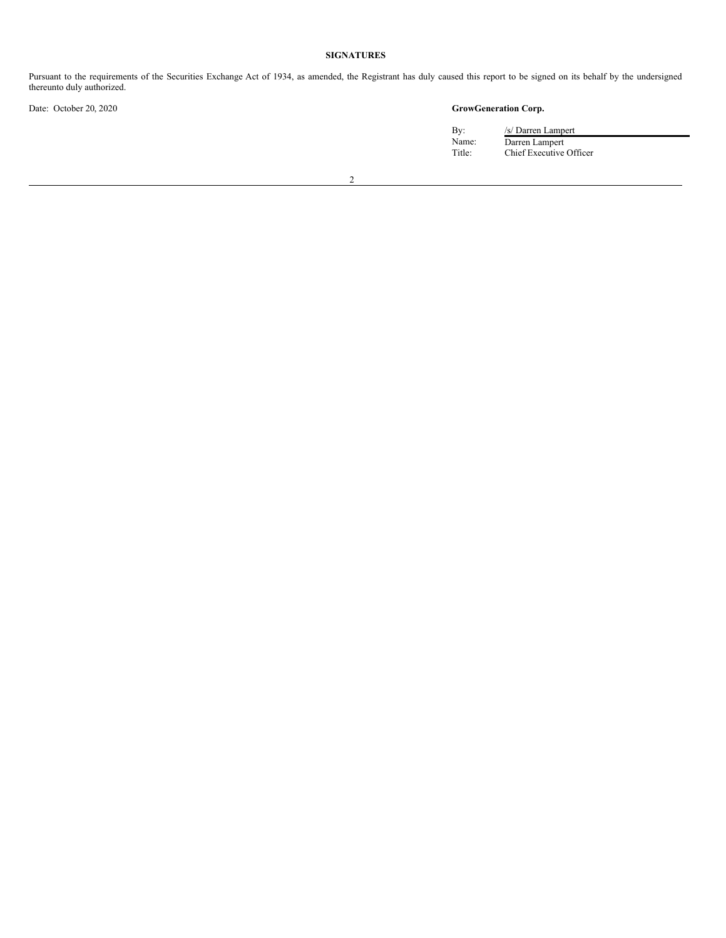# **SIGNATURES**

Pursuant to the requirements of the Securities Exchange Act of 1934, as amended, the Registrant has duly caused this report to be signed on its behalf by the undersigned thereunto duly authorized.

# Date: October 20, 2020 **GrowGeneration Corp.**

By: /s/ Darren Lampert Name: Darren Lampert Title: Chief Executive Officer